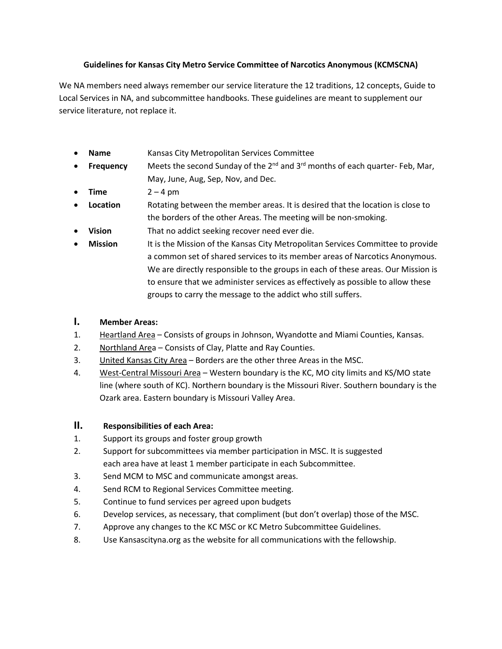#### **Guidelines for Kansas City Metro Service Committee of Narcotics Anonymous (KCMSCNA)**

We NA members need always remember our service literature the 12 traditions, 12 concepts, Guide to Local Services in NA, and subcommittee handbooks. These guidelines are meant to supplement our service literature, not replace it.

- **Name** Kansas City Metropolitan Services Committee
- **Frequency** Meets the second Sunday of the 2<sup>nd</sup> and 3<sup>rd</sup> months of each quarter- Feb, Mar, May, June, Aug, Sep, Nov, and Dec.
- **Time** 2 4 pm
- **Location** Rotating between the member areas. It is desired that the location is close to the borders of the other Areas. The meeting will be non-smoking.
- **Vision** That no addict seeking recover need ever die.
- **Mission** It is the Mission of the Kansas City Metropolitan Services Committee to provide a common set of shared services to its member areas of Narcotics Anonymous. We are directly responsible to the groups in each of these areas. Our Mission is to ensure that we administer services as effectively as possible to allow these groups to carry the message to the addict who still suffers.

## **I. Member Areas:**

- 1. Heartland Area Consists of groups in Johnson, Wyandotte and Miami Counties, Kansas.
- 2. Northland Area Consists of Clay, Platte and Ray Counties.
- 3. United Kansas City Area Borders are the other three Areas in the MSC.
- 4. West-Central Missouri Area Western boundary is the KC, MO city limits and KS/MO state line (where south of KC). Northern boundary is the Missouri River. Southern boundary is the Ozark area. Eastern boundary is Missouri Valley Area.

### **II. Responsibilities of each Area:**

- 1. Support its groups and foster group growth
- 2. Support for subcommittees via member participation in MSC. It is suggested each area have at least 1 member participate in each Subcommittee.
- 3. Send MCM to MSC and communicate amongst areas.
- 4. Send RCM to Regional Services Committee meeting.
- 5. Continue to fund services per agreed upon budgets
- 6. Develop services, as necessary, that compliment (but don't overlap) those of the MSC.
- 7. Approve any changes to the KC MSC or KC Metro Subcommittee Guidelines.
- 8. Use Kansascityna.org as the website for all communications with the fellowship.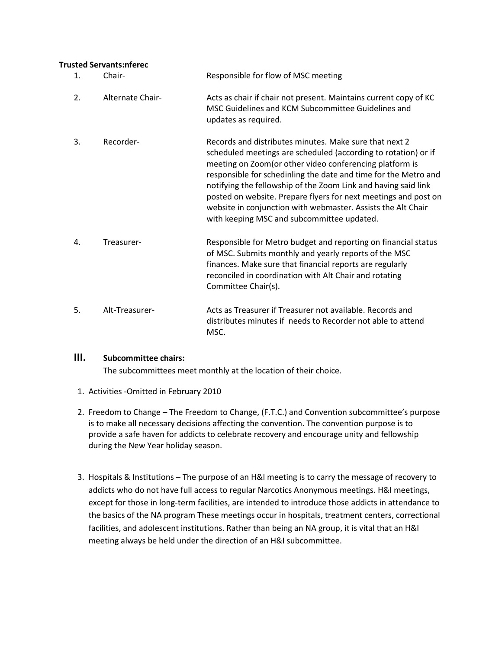#### **Trusted Servants:nferec**

| 1.               | Chair-           | Responsible for flow of MSC meeting                                                                                                                                                                                                                                                                                                                                                                                                                                                                        |
|------------------|------------------|------------------------------------------------------------------------------------------------------------------------------------------------------------------------------------------------------------------------------------------------------------------------------------------------------------------------------------------------------------------------------------------------------------------------------------------------------------------------------------------------------------|
| $\overline{2}$ . | Alternate Chair- | Acts as chair if chair not present. Maintains current copy of KC<br>MSC Guidelines and KCM Subcommittee Guidelines and<br>updates as required.                                                                                                                                                                                                                                                                                                                                                             |
| 3.               | Recorder-        | Records and distributes minutes. Make sure that next 2<br>scheduled meetings are scheduled (according to rotation) or if<br>meeting on Zoom (or other video conferencing platform is<br>responsible for schedinling the date and time for the Metro and<br>notifying the fellowship of the Zoom Link and having said link<br>posted on website. Prepare flyers for next meetings and post on<br>website in conjunction with webmaster. Assists the Alt Chair<br>with keeping MSC and subcommittee updated. |
| 4.               | Treasurer-       | Responsible for Metro budget and reporting on financial status<br>of MSC. Submits monthly and yearly reports of the MSC<br>finances. Make sure that financial reports are regularly<br>reconciled in coordination with Alt Chair and rotating<br>Committee Chair(s).                                                                                                                                                                                                                                       |
| 5.               | Alt-Treasurer-   | Acts as Treasurer if Treasurer not available. Records and<br>distributes minutes if needs to Recorder not able to attend<br>MSC.                                                                                                                                                                                                                                                                                                                                                                           |

#### **III. Subcommittee chairs:**

The subcommittees meet monthly at the location of their choice.

- 1. Activities -Omitted in February 2010
- 2. Freedom to Change The Freedom to Change, (F.T.C.) and Convention subcommittee's purpose is to make all necessary decisions affecting the convention. The convention purpose is to provide a safe haven for addicts to celebrate recovery and encourage unity and fellowship during the New Year holiday season.
- 3. Hospitals & Institutions The purpose of an H&I meeting is to carry the message of recovery to addicts who do not have full access to regular Narcotics Anonymous meetings. H&I meetings, except for those in long-term facilities, are intended to introduce those addicts in attendance to the basics of the NA program These meetings occur in hospitals, treatment centers, correctional facilities, and adolescent institutions. Rather than being an NA group, it is vital that an H&I meeting always be held under the direction of an H&I subcommittee.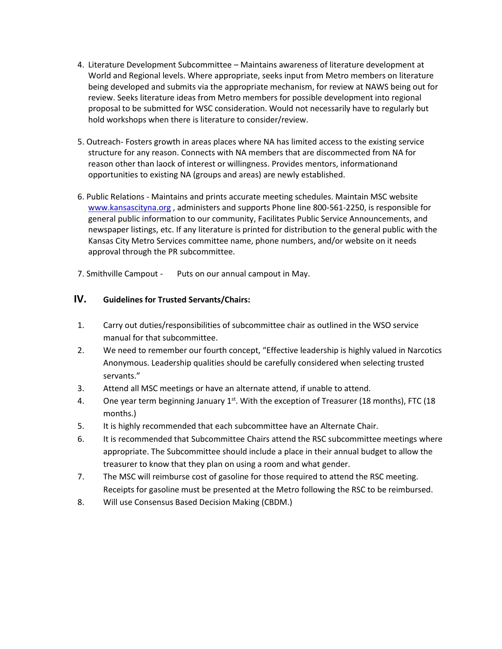- 4. Literature Development Subcommittee Maintains awareness of literature development at World and Regional levels. Where appropriate, seeks input from Metro members on literature being developed and submits via the appropriate mechanism, for review at NAWS being out for review. Seeks literature ideas from Metro members for possible development into regional proposal to be submitted for WSC consideration. Would not necessarily have to regularly but hold workshops when there is literature to consider/review.
- 5. Outreach- Fosters growth in areas places where NA has limited access to the existing service structure for any reason. Connects with NA members that are discommected from NA for reason other than laock of interest or willingness. Provides mentors, informationand opportunities to existing NA (groups and areas) are newly established.
- 6. Public Relations Maintains and prints accurate meeting schedules. Maintain MSC website [www.kansascityna.org](http://www.kansascityna.org/) , administers and supports Phone line 800-561-2250, is responsible for general public information to our community, Facilitates Public Service Announcements, and newspaper listings, etc. If any literature is printed for distribution to the general public with the Kansas City Metro Services committee name, phone numbers, and/or website on it needs approval through the PR subcommittee.

7. Smithville Campout - Puts on our annual campout in May.

### **IV. Guidelines for Trusted Servants/Chairs:**

- 1. Carry out duties/responsibilities of subcommittee chair as outlined in the WSO service manual for that subcommittee.
- 2. We need to remember our fourth concept, "Effective leadership is highly valued in Narcotics Anonymous. Leadership qualities should be carefully considered when selecting trusted servants."
- 3. Attend all MSC meetings or have an alternate attend, if unable to attend.
- 4. One year term beginning January  $1<sup>st</sup>$ . With the exception of Treasurer (18 months), FTC (18 months.)
- 5. It is highly recommended that each subcommittee have an Alternate Chair.
- 6. It is recommended that Subcommittee Chairs attend the RSC subcommittee meetings where appropriate. The Subcommittee should include a place in their annual budget to allow the treasurer to know that they plan on using a room and what gender.
- 7. The MSC will reimburse cost of gasoline for those required to attend the RSC meeting. Receipts for gasoline must be presented at the Metro following the RSC to be reimbursed.
- 8. Will use Consensus Based Decision Making (CBDM.)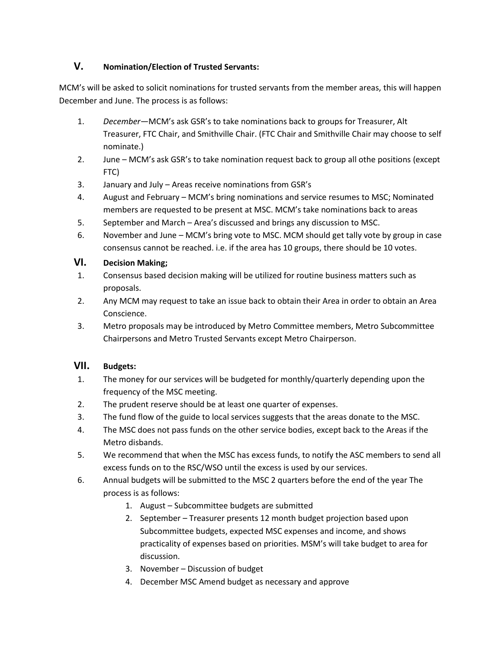# **V. Nomination/Election of Trusted Servants:**

MCM's will be asked to solicit nominations for trusted servants from the member areas, this will happen December and June. The process is as follows:

- 1. *December*—MCM's ask GSR's to take nominations back to groups for Treasurer, Alt Treasurer, FTC Chair, and Smithville Chair. (FTC Chair and Smithville Chair may choose to self nominate.)
- 2. June MCM's ask GSR's to take nomination request back to group all othe positions (except FTC)
- 3. January and July Areas receive nominations from GSR's
- 4. August and February MCM's bring nominations and service resumes to MSC; Nominated members are requested to be present at MSC. MCM's take nominations back to areas
- 5. September and March Area's discussed and brings any discussion to MSC.
- 6. November and June MCM's bring vote to MSC. MCM should get tally vote by group in case consensus cannot be reached. i.e. if the area has 10 groups, there should be 10 votes.

#### **VI. Decision Making;**

- 1. Consensus based decision making will be utilized for routine business matters such as proposals.
- 2. Any MCM may request to take an issue back to obtain their Area in order to obtain an Area Conscience.
- 3. Metro proposals may be introduced by Metro Committee members, Metro Subcommittee Chairpersons and Metro Trusted Servants except Metro Chairperson.

#### **VII. Budgets:**

- 1. The money for our services will be budgeted for monthly/quarterly depending upon the frequency of the MSC meeting.
- 2. The prudent reserve should be at least one quarter of expenses.
- 3. The fund flow of the guide to local services suggests that the areas donate to the MSC.
- 4. The MSC does not pass funds on the other service bodies, except back to the Areas if the Metro disbands.
- 5. We recommend that when the MSC has excess funds, to notify the ASC members to send all excess funds on to the RSC/WSO until the excess is used by our services.
- 6. Annual budgets will be submitted to the MSC 2 quarters before the end of the year The process is as follows:
	- 1. August Subcommittee budgets are submitted
	- 2. September Treasurer presents 12 month budget projection based upon Subcommittee budgets, expected MSC expenses and income, and shows practicality of expenses based on priorities. MSM's will take budget to area for discussion.
	- 3. November Discussion of budget
	- 4. December MSC Amend budget as necessary and approve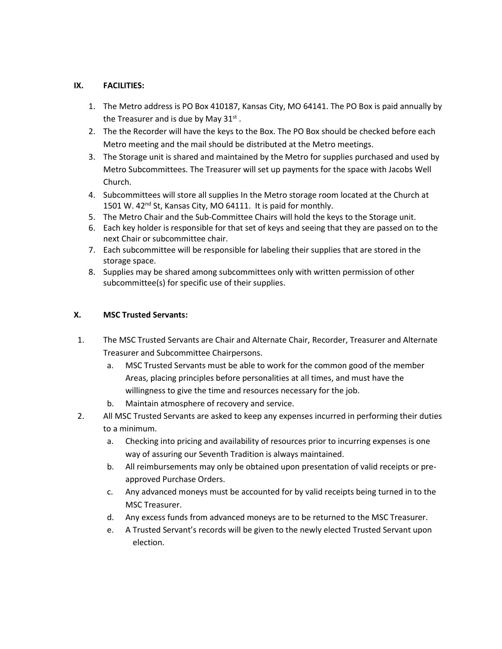#### **IX. FACILITIES:**

- 1. The Metro address is PO Box 410187, Kansas City, MO 64141. The PO Box is paid annually by the Treasurer and is due by May 31 $^{\rm st}$  .
- 2. The the Recorder will have the keys to the Box. The PO Box should be checked before each Metro meeting and the mail should be distributed at the Metro meetings.
- 3. The Storage unit is shared and maintained by the Metro for supplies purchased and used by Metro Subcommittees. The Treasurer will set up payments for the space with Jacobs Well Church.
- 4. Subcommittees will store all supplies In the Metro storage room located at the Church at 1501 W. 42<sup>nd</sup> St, Kansas City, MO 64111. It is paid for monthly.
- 5. The Metro Chair and the Sub-Committee Chairs will hold the keys to the Storage unit.
- 6. Each key holder is responsible for that set of keys and seeing that they are passed on to the next Chair or subcommittee chair.
- 7. Each subcommittee will be responsible for labeling their supplies that are stored in the storage space.
- 8. Supplies may be shared among subcommittees only with written permission of other subcommittee(s) for specific use of their supplies.

#### **X. MSC Trusted Servants:**

- 1. The MSC Trusted Servants are Chair and Alternate Chair, Recorder, Treasurer and Alternate Treasurer and Subcommittee Chairpersons.
	- a. MSC Trusted Servants must be able to work for the common good of the member Areas, placing principles before personalities at all times, and must have the willingness to give the time and resources necessary for the job.
	- b. Maintain atmosphere of recovery and service.
- 2. All MSC Trusted Servants are asked to keep any expenses incurred in performing their duties to a minimum.
	- a. Checking into pricing and availability of resources prior to incurring expenses is one way of assuring our Seventh Tradition is always maintained.
	- b. All reimbursements may only be obtained upon presentation of valid receipts or preapproved Purchase Orders.
	- c. Any advanced moneys must be accounted for by valid receipts being turned in to the MSC Treasurer.
	- d. Any excess funds from advanced moneys are to be returned to the MSC Treasurer.
	- e. A Trusted Servant's records will be given to the newly elected Trusted Servant upon election.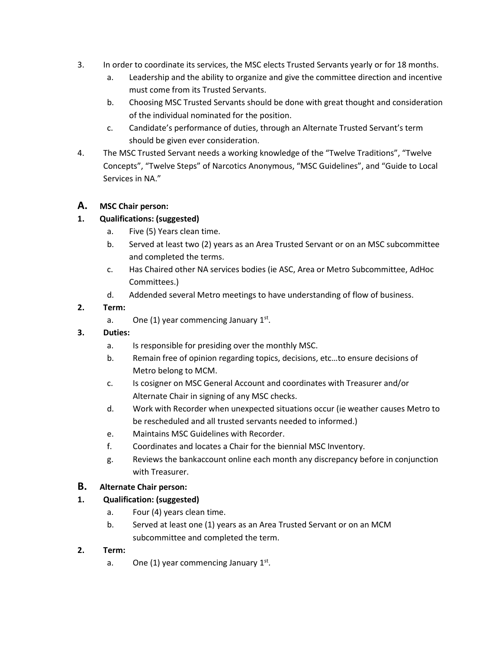- 3. In order to coordinate its services, the MSC elects Trusted Servants yearly or for 18 months.
	- a. Leadership and the ability to organize and give the committee direction and incentive must come from its Trusted Servants.
	- b. Choosing MSC Trusted Servants should be done with great thought and consideration of the individual nominated for the position.
	- c. Candidate's performance of duties, through an Alternate Trusted Servant's term should be given ever consideration.
- 4. The MSC Trusted Servant needs a working knowledge of the "Twelve Traditions", "Twelve Concepts", "Twelve Steps" of Narcotics Anonymous, "MSC Guidelines", and "Guide to Local Services in NA."

# **A. MSC Chair person:**

# **1. Qualifications: (suggested)**

- a. Five (5) Years clean time.
- b. Served at least two (2) years as an Area Trusted Servant or on an MSC subcommittee and completed the terms.
- c. Has Chaired other NA services bodies (ie ASC, Area or Metro Subcommittee, AdHoc Committees.)
- d. Addended several Metro meetings to have understanding of flow of business.

# **2. Term:**

a. One (1) year commencing January  $1^{st}$ .

# **3. Duties:**

- a. Is responsible for presiding over the monthly MSC.
- b. Remain free of opinion regarding topics, decisions, etc…to ensure decisions of Metro belong to MCM.
- c. Is cosigner on MSC General Account and coordinates with Treasurer and/or Alternate Chair in signing of any MSC checks.
- d. Work with Recorder when unexpected situations occur (ie weather causes Metro to be rescheduled and all trusted servants needed to informed.)
- e. Maintains MSC Guidelines with Recorder.
- f. Coordinates and locates a Chair for the biennial MSC Inventory.
- g. Reviews the bankaccount online each month any discrepancy before in conjunction with Treasurer.

# **B. Alternate Chair person:**

# **1. Qualification: (suggested)**

- a. Four (4) years clean time.
- b. Served at least one (1) years as an Area Trusted Servant or on an MCM subcommittee and completed the term.

# **2. Term:**

a. One (1) year commencing January  $1^{st}$ .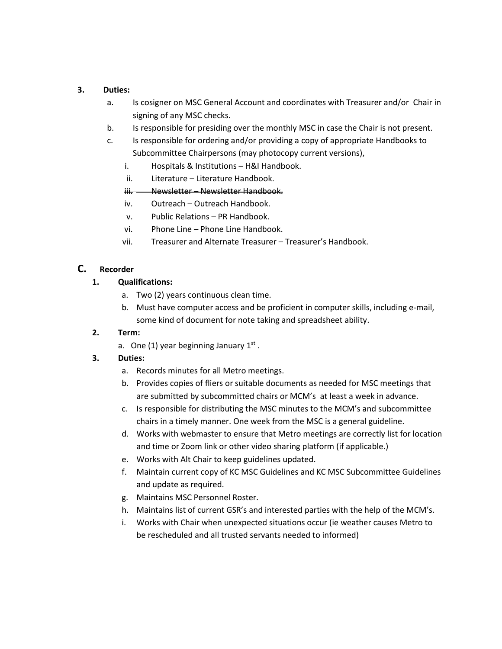#### **3. Duties:**

- a. Is cosigner on MSC General Account and coordinates with Treasurer and/or Chair in signing of any MSC checks.
- b. Is responsible for presiding over the monthly MSC in case the Chair is not present.
- c. Is responsible for ordering and/or providing a copy of appropriate Handbooks to Subcommittee Chairpersons (may photocopy current versions),
	- i. Hospitals & Institutions H&I Handbook.
	- ii. Literature Literature Handbook.
	- iii. Newsletter Newsletter Handbook.
	- iv. Outreach Outreach Handbook.
	- v. Public Relations PR Handbook.
	- vi. Phone Line Phone Line Handbook.
	- vii. Treasurer and Alternate Treasurer Treasurer's Handbook.

#### **C. Recorder**

- **1. Qualifications:**
	- a. Two (2) years continuous clean time.
	- b. Must have computer access and be proficient in computer skills, including e-mail, some kind of document for note taking and spreadsheet ability.

#### **2. Term:**

a. One (1) year beginning January  $1<sup>st</sup>$ .

#### **3. Duties:**

- a. Records minutes for all Metro meetings.
- b. Provides copies of fliers or suitable documents as needed for MSC meetings that are submitted by subcommitted chairs or MCM's at least a week in advance.
- c. Is responsible for distributing the MSC minutes to the MCM's and subcommittee chairs in a timely manner. One week from the MSC is a general guideline.
- d. Works with webmaster to ensure that Metro meetings are correctly list for location and time or Zoom link or other video sharing platform (if applicable.)
- e. Works with Alt Chair to keep guidelines updated.
- f. Maintain current copy of KC MSC Guidelines and KC MSC Subcommittee Guidelines and update as required.
- g. Maintains MSC Personnel Roster.
- h. Maintains list of current GSR's and interested parties with the help of the MCM's.
- i. Works with Chair when unexpected situations occur (ie weather causes Metro to be rescheduled and all trusted servants needed to informed)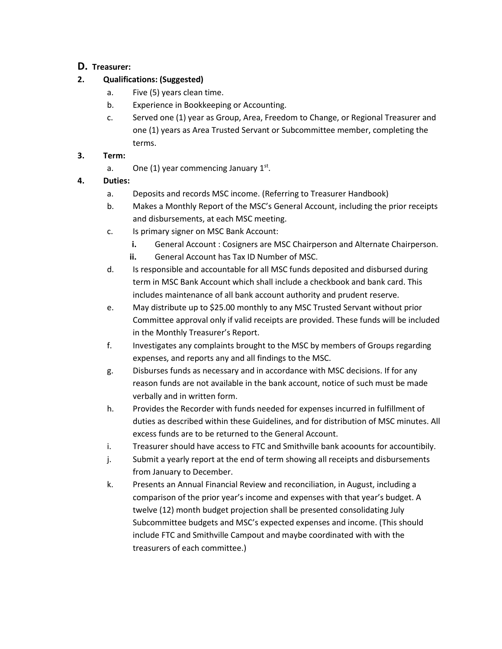# **D. Treasurer:**

# **2. Qualifications: (Suggested)**

- a. Five (5) years clean time.
- b. Experience in Bookkeeping or Accounting.
- c. Served one (1) year as Group, Area, Freedom to Change, or Regional Treasurer and one (1) years as Area Trusted Servant or Subcommittee member, completing the terms.

## **3. Term:**

a. One (1) year commencing January  $1^{st}$ .

# **4. Duties:**

- a. Deposits and records MSC income. (Referring to Treasurer Handbook)
- b. Makes a Monthly Report of the MSC's General Account, including the prior receipts and disbursements, at each MSC meeting.
- c. Is primary signer on MSC Bank Account:
	- **i.** General Account : Cosigners are MSC Chairperson and Alternate Chairperson.
	- **ii.** General Account has Tax ID Number of MSC.
- d. Is responsible and accountable for all MSC funds deposited and disbursed during term in MSC Bank Account which shall include a checkbook and bank card. This includes maintenance of all bank account authority and prudent reserve.
- e. May distribute up to \$25.00 monthly to any MSC Trusted Servant without prior Committee approval only if valid receipts are provided. These funds will be included in the Monthly Treasurer's Report.
- f. Investigates any complaints brought to the MSC by members of Groups regarding expenses, and reports any and all findings to the MSC.
- g. Disburses funds as necessary and in accordance with MSC decisions. If for any reason funds are not available in the bank account, notice of such must be made verbally and in written form.
- h. Provides the Recorder with funds needed for expenses incurred in fulfillment of duties as described within these Guidelines, and for distribution of MSC minutes. All excess funds are to be returned to the General Account.
- i. Treasurer should have access to FTC and Smithville bank acoounts for accountibily.
- j. Submit a yearly report at the end of term showing all receipts and disbursements from January to December.
- k. Presents an Annual Financial Review and reconciliation, in August, including a comparison of the prior year's income and expenses with that year's budget. A twelve (12) month budget projection shall be presented consolidating July Subcommittee budgets and MSC's expected expenses and income. (This should include FTC and Smithville Campout and maybe coordinated with with the treasurers of each committee.)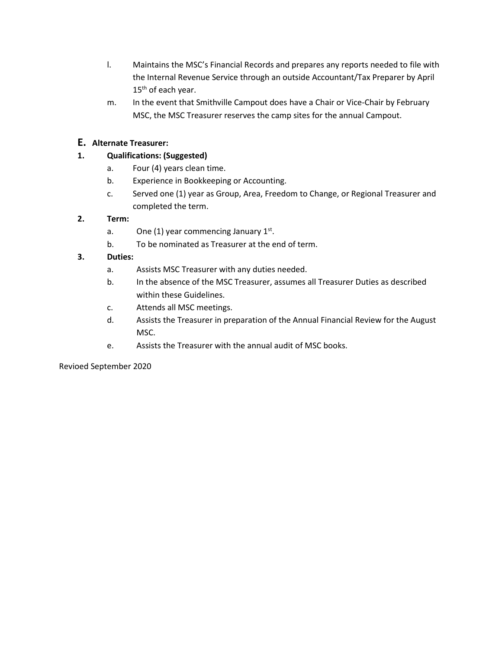- l. Maintains the MSC's Financial Records and prepares any reports needed to file with the Internal Revenue Service through an outside Accountant/Tax Preparer by April 15<sup>th</sup> of each year.
- m. In the event that Smithville Campout does have a Chair or Vice-Chair by February MSC, the MSC Treasurer reserves the camp sites for the annual Campout.

# **E. Alternate Treasurer:**

## **1. Qualifications: (Suggested)**

- a. Four (4) years clean time.
- b. Experience in Bookkeeping or Accounting.
- c. Served one (1) year as Group, Area, Freedom to Change, or Regional Treasurer and completed the term.

#### **2. Term:**

- a. One (1) year commencing January  $1^{st}$ .
- b. To be nominated as Treasurer at the end of term.

## **3. Duties:**

- a. Assists MSC Treasurer with any duties needed.
- b. In the absence of the MSC Treasurer, assumes all Treasurer Duties as described within these Guidelines.
- c. Attends all MSC meetings.
- d. Assists the Treasurer in preparation of the Annual Financial Review for the August MSC.
- e. Assists the Treasurer with the annual audit of MSC books.

#### Revioed September 2020